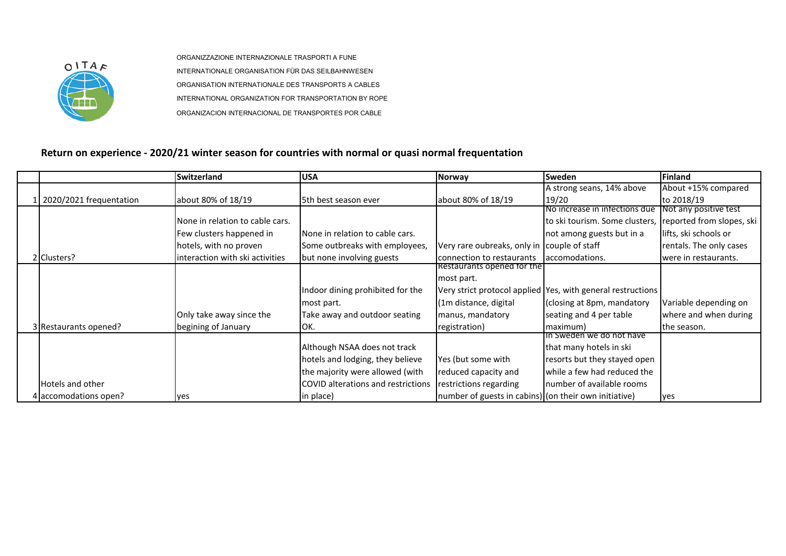

ORGANIZZAZIONE INTERNAZIONALE TRASPORTI A FUNE INTERNATIONALE ORGANISATION FÜR DAS SEILBAHNWESEN ORGANISATION INTERNATIONALE DES TRANSPORTS A CABLES INTERNATIONAL ORGANIZATION FOR TRANSPORTATION BY ROPE ORGANIZACION INTERNACIONAL DE TRANSPORTES POR CABLE

## **Return on experience - 2020/21 winter season for countries with normal or quasi normal frequentation**

|                         | <b>Switzerland</b>              | <b>USA</b>                         | <b>Norway</b>                                         | <b>Sweden</b>                                                 | <b>Finland</b>          |
|-------------------------|---------------------------------|------------------------------------|-------------------------------------------------------|---------------------------------------------------------------|-------------------------|
|                         |                                 |                                    |                                                       | A strong seans, 14% above                                     | About +15% compared     |
| 2020/2021 frequentation | about 80% of 18/19              | 5th best season ever               | about 80% of 18/19                                    | 19/20                                                         | to 2018/19              |
|                         |                                 |                                    |                                                       | No increase in infections due                                 | Not any positive test   |
|                         | None in relation to cable cars. |                                    |                                                       | to ski tourism. Some clusters, reported from slopes, ski      |                         |
|                         | Few clusters happened in        | None in relation to cable cars.    |                                                       | not among guests but in a                                     | lifts, ski schools or   |
|                         | hotels, with no proven          | Some outbreaks with employees,     | Very rare oubreaks, only in couple of staff           |                                                               | rentals. The only cases |
| 2 Clusters?             | interaction with ski activities | but none involving guests          | connection to restaurants                             | laccomodations.                                               | were in restaurants.    |
|                         |                                 |                                    | Restaurants opened for the                            |                                                               |                         |
|                         |                                 |                                    | most part.                                            |                                                               |                         |
|                         |                                 | Indoor dining prohibited for the   |                                                       | Very strict protocol applied   Yes, with general restructions |                         |
|                         |                                 | most part.                         | (1m distance, digital                                 | (closing at 8pm, mandatory                                    | Variable depending on   |
|                         | Only take away since the        | Take away and outdoor seating      | manus, mandatory                                      | seating and 4 per table                                       | where and when during   |
| 3 Restaurants opened?   | begining of January             | IOK.                               | registration)                                         | maximum)                                                      | the season.             |
|                         |                                 |                                    |                                                       | Th Sweden we do not have                                      |                         |
|                         |                                 | Although NSAA does not track       |                                                       | that many hotels in ski                                       |                         |
|                         |                                 | hotels and lodging, they believe   | Yes (but some with                                    | resorts but they stayed open                                  |                         |
|                         |                                 | the majority were allowed (with    | reduced capacity and                                  | while a few had reduced the                                   |                         |
| <b>Hotels and other</b> |                                 | COVID alterations and restrictions | restrictions regarding                                | number of available rooms                                     |                         |
| 4 accomodations open?   | yes                             | in place)                          | number of guests in cabins) (on their own initiative) |                                                               | yes                     |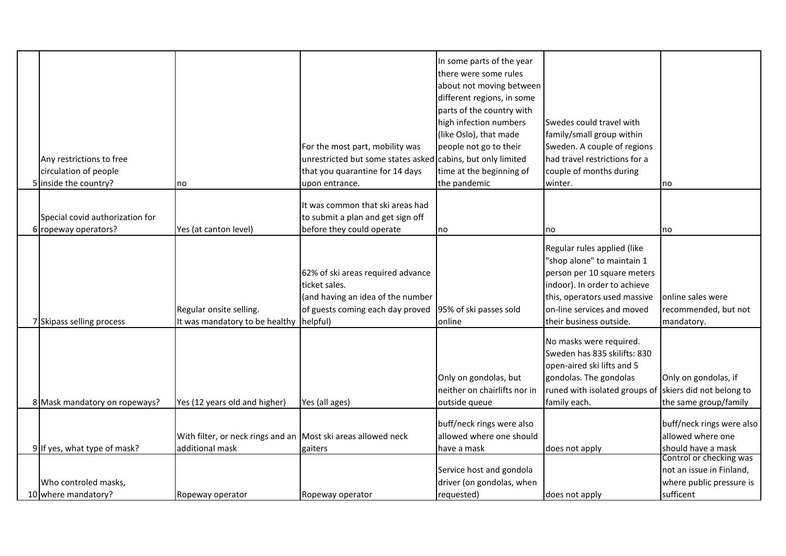|                                 |                                                               |                                                             | In some parts of the year    |                               |                           |
|---------------------------------|---------------------------------------------------------------|-------------------------------------------------------------|------------------------------|-------------------------------|---------------------------|
|                                 |                                                               |                                                             | there were some rules        |                               |                           |
|                                 |                                                               |                                                             | about not moving between     |                               |                           |
|                                 |                                                               |                                                             | different regions, in some   |                               |                           |
|                                 |                                                               |                                                             | parts of the country with    |                               |                           |
|                                 |                                                               |                                                             | high infection numbers       | Swedes could travel with      |                           |
|                                 |                                                               |                                                             | (like Oslo), that made       | family/small group within     |                           |
|                                 |                                                               | For the most part, mobility was                             | people not go to their       | Sweden. A couple of regions   |                           |
| Any restrictions to free        |                                                               | unrestricted but some states asked cabins, but only limited |                              | had travel restrictions for a |                           |
| circulation of people           |                                                               | that you quarantine for 14 days                             | time at the beginning of     | couple of months during       |                           |
| 5 inside the country?           | no                                                            | upon entrance.                                              | the pandemic                 | winter.                       | no                        |
|                                 |                                                               |                                                             |                              |                               |                           |
|                                 |                                                               | It was common that ski areas had                            |                              |                               |                           |
| Special covid authorization for |                                                               | to submit a plan and get sign off                           |                              |                               |                           |
| 6 ropeway operators?            | Yes (at canton level)                                         | before they could operate                                   | no                           | no                            | no                        |
|                                 |                                                               |                                                             |                              |                               |                           |
|                                 |                                                               |                                                             |                              | Regular rules applied (like   |                           |
|                                 |                                                               |                                                             |                              | "shop alone" to maintain 1    |                           |
|                                 |                                                               | 62% of ski areas required advance                           |                              | person per 10 square meters   |                           |
|                                 |                                                               | ticket sales.                                               |                              | indoor). In order to achieve  |                           |
|                                 |                                                               | (and having an idea of the number                           |                              | this, operators used massive  | online sales were         |
|                                 | Regular onsite selling.                                       | of guests coming each day proved 95% of ski passes sold     |                              | on-line services and moved    | recommended, but not      |
| 7 Skipass selling process       | It was mandatory to be healthy                                | helpful)                                                    | online                       | their business outside.       | mandatory.                |
|                                 |                                                               |                                                             |                              | No masks were required.       |                           |
|                                 |                                                               |                                                             |                              | Sweden has 835 skilifts: 830  |                           |
|                                 |                                                               |                                                             |                              | open-aired ski lifts and 5    |                           |
|                                 |                                                               |                                                             | Only on gondolas, but        | gondolas. The gondolas        | Only on gondolas, if      |
|                                 |                                                               |                                                             | neither on chairlifts nor in | runed with isolated groups of | skiers did not belong to  |
| 8 Mask mandatory on ropeways?   | Yes (12 years old and higher)                                 | Yes (all ages)                                              | outside queue                | family each.                  | the same group/family     |
|                                 |                                                               |                                                             |                              |                               |                           |
|                                 |                                                               |                                                             | buff/neck rings were also    |                               | buff/neck rings were also |
|                                 | With filter, or neck rings and an Most ski areas allowed neck |                                                             | allowed where one should     |                               | allowed where one         |
| 9 If yes, what type of mask?    | additional mask                                               | gaiters                                                     | have a mask                  | does not apply                | should have a mask        |
|                                 |                                                               |                                                             |                              |                               | Control or checking was   |
|                                 |                                                               |                                                             | Service host and gondola     |                               | not an issue in Finland,  |
| Who controled masks,            |                                                               |                                                             | driver (on gondolas, when    |                               | where public pressure is  |
| 10 where mandatory?             | Ropeway operator                                              | Ropeway operator                                            | requested)                   | does not apply                | sufficent                 |